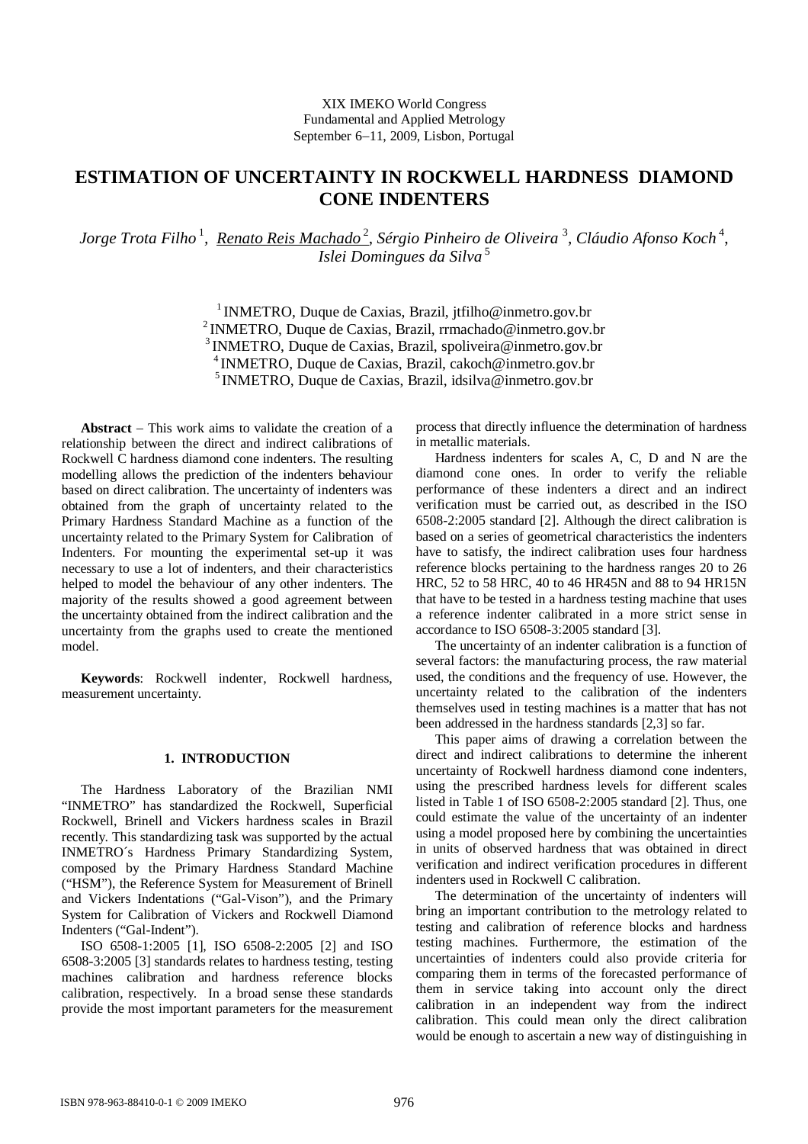# **ESTIMATION OF UNCERTAINTY IN ROCKWELL HARDNESS DIAMOND CONE INDENTERS**

Jorge Trota Filho<sup>1</sup>, <u>Renato Reis Machado<sup>2</sup>,</u> Sérgio Pinheiro de Oliveira <sup>3</sup>, Cláudio Afonso Koch<sup>4</sup>, *Islei Domingues da Silva*<sup>5</sup>

> <sup>1</sup>INMETRO, Duque de Caxias, Brazil, jtfilho@inmetro.gov.br <sup>2</sup>INMETRO, Duque de Caxias, Brazil, rrmachado@inmetro.gov.br <sup>3</sup>INMETRO, Duque de Caxias, Brazil, spoliveira@inmetro.gov.br <sup>4</sup> INMETRO, Duque de Caxias, Brazil, cakoch@inmetro.gov.br  $<sup>5</sup>$  INMETRO, Duque de Caxias, Brazil, idsilva@inmetro.gov.br</sup>

**Abstract** – This work aims to validate the creation of a relationship between the direct and indirect calibrations of Rockwell C hardness diamond cone indenters. The resulting modelling allows the prediction of the indenters behaviour based on direct calibration. The uncertainty of indenters was obtained from the graph of uncertainty related to the Primary Hardness Standard Machine as a function of the uncertainty related to the Primary System for Calibration of Indenters. For mounting the experimental set-up it was necessary to use a lot of indenters, and their characteristics helped to model the behaviour of any other indenters. The majority of the results showed a good agreement between the uncertainty obtained from the indirect calibration and the uncertainty from the graphs used to create the mentioned model.

**Keywords**: Rockwell indenter, Rockwell hardness, measurement uncertainty.

#### **1. INTRODUCTION**

The Hardness Laboratory of the Brazilian NMI "INMETRO" has standardized the Rockwell, Superficial Rockwell, Brinell and Vickers hardness scales in Brazil recently. This standardizing task was supported by the actual INMETRO´s Hardness Primary Standardizing System, composed by the Primary Hardness Standard Machine ("HSM"), the Reference System for Measurement of Brinell and Vickers Indentations ("Gal-Vison"), and the Primary System for Calibration of Vickers and Rockwell Diamond Indenters ("Gal-Indent").

ISO 6508-1:2005 [1], ISO 6508-2:2005 [2] and ISO 6508-3:2005 [3] standards relates to hardness testing, testing machines calibration and hardness reference blocks calibration, respectively. In a broad sense these standards provide the most important parameters for the measurement process that directly influence the determination of hardness in metallic materials.

Hardness indenters for scales A, C, D and N are the diamond cone ones. In order to verify the reliable performance of these indenters a direct and an indirect verification must be carried out, as described in the ISO 6508-2:2005 standard [2]. Although the direct calibration is based on a series of geometrical characteristics the indenters have to satisfy, the indirect calibration uses four hardness reference blocks pertaining to the hardness ranges 20 to 26 HRC, 52 to 58 HRC, 40 to 46 HR45N and 88 to 94 HR15N that have to be tested in a hardness testing machine that uses a reference indenter calibrated in a more strict sense in accordance to ISO 6508-3:2005 standard [3].

The uncertainty of an indenter calibration is a function of several factors: the manufacturing process, the raw material used, the conditions and the frequency of use. However, the uncertainty related to the calibration of the indenters themselves used in testing machines is a matter that has not been addressed in the hardness standards [2,3] so far.

This paper aims of drawing a correlation between the direct and indirect calibrations to determine the inherent uncertainty of Rockwell hardness diamond cone indenters, using the prescribed hardness levels for different scales listed in Table 1 of ISO 6508-2:2005 standard [2]. Thus, one could estimate the value of the uncertainty of an indenter using a model proposed here by combining the uncertainties in units of observed hardness that was obtained in direct verification and indirect verification procedures in different indenters used in Rockwell C calibration.

The determination of the uncertainty of indenters will bring an important contribution to the metrology related to testing and calibration of reference blocks and hardness testing machines. Furthermore, the estimation of the uncertainties of indenters could also provide criteria for comparing them in terms of the forecasted performance of them in service taking into account only the direct calibration in an independent way from the indirect calibration. This could mean only the direct calibration would be enough to ascertain a new way of distinguishing in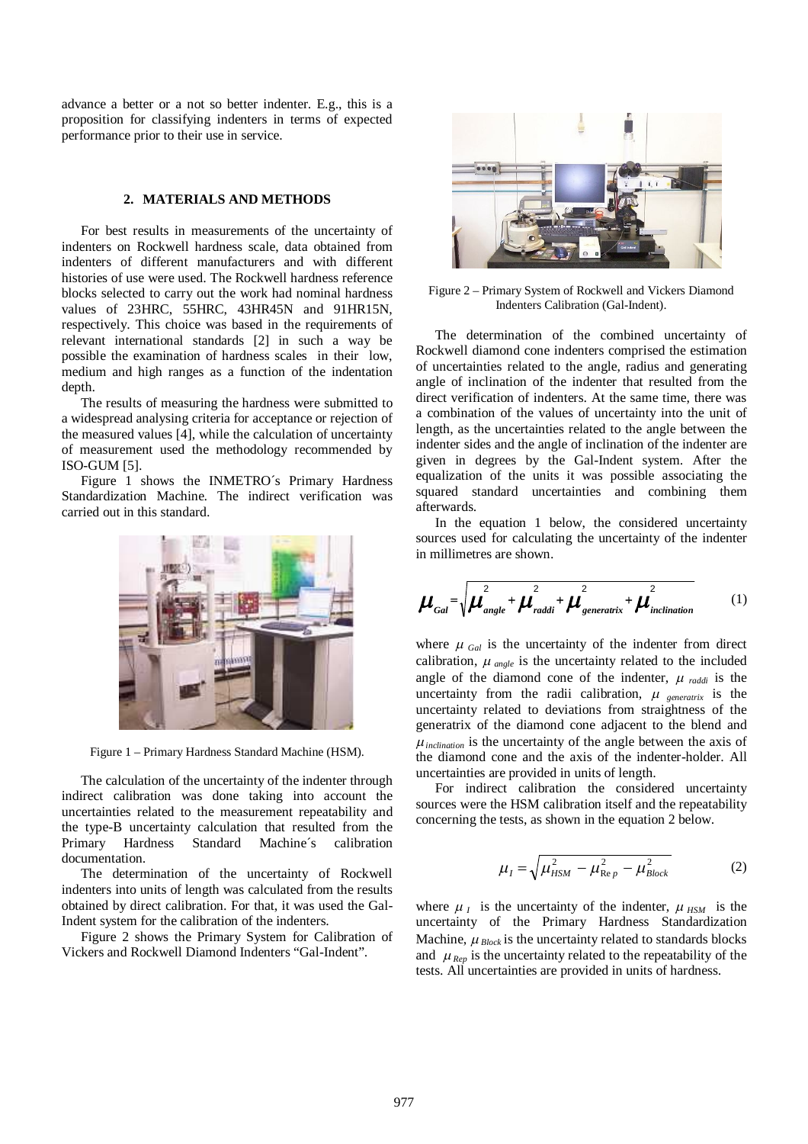advance a better or a not so better indenter. E.g., this is a proposition for classifying indenters in terms of expected performance prior to their use in service.

# **2. MATERIALS AND METHODS**

For best results in measurements of the uncertainty of indenters on Rockwell hardness scale, data obtained from indenters of different manufacturers and with different histories of use were used. The Rockwell hardness reference blocks selected to carry out the work had nominal hardness values of 23HRC, 55HRC, 43HR45N and 91HR15N, respectively. This choice was based in the requirements of relevant international standards [2] in such a way be possible the examination of hardness scales in their low, medium and high ranges as a function of the indentation depth.

The results of measuring the hardness were submitted to a widespread analysing criteria for acceptance or rejection of the measured values [4], while the calculation of uncertainty of measurement used the methodology recommended by ISO-GUM [5].

Figure 1 shows the INMETRO´s Primary Hardness Standardization Machine. The indirect verification was carried out in this standard.



Figure 1 – Primary Hardness Standard Machine (HSM).

The calculation of the uncertainty of the indenter through indirect calibration was done taking into account the uncertainties related to the measurement repeatability and the type-B uncertainty calculation that resulted from the Primary Hardness Standard Machine's calibration Primary Hardness Standard Machine´s calibration documentation.

The determination of the uncertainty of Rockwell indenters into units of length was calculated from the results obtained by direct calibration. For that, it was used the Gal-Indent system for the calibration of the indenters.

Figure 2 shows the Primary System for Calibration of Vickers and Rockwell Diamond Indenters "Gal-Indent".



Figure 2 – Primary System of Rockwell and Vickers Diamond Indenters Calibration (Gal-Indent).

The determination of the combined uncertainty of Rockwell diamond cone indenters comprised the estimation of uncertainties related to the angle, radius and generating angle of inclination of the indenter that resulted from the direct verification of indenters. At the same time, there was a combination of the values of uncertainty into the unit of length, as the uncertainties related to the angle between the indenter sides and the angle of inclination of the indenter are given in degrees by the Gal-Indent system. After the equalization of the units it was possible associating the squared standard uncertainties and combining them afterwards.

In the equation 1 below, the considered uncertainty sources used for calculating the uncertainty of the indenter in millimetres are shown.

$$
\boldsymbol{\mu}_{Gal} = \sqrt{\boldsymbol{\mu}_{angle}^2 + \boldsymbol{\mu}_{raddi}^2 + \boldsymbol{\mu}_{generatrix}^2 + \boldsymbol{\mu}_{inclination}^2}
$$
 (1)

where  $\mu$   $_{Gal}$  is the uncertainty of the indenter from direct calibration,  $\mu_{angle}$  is the uncertainty related to the included angle of the diamond cone of the indenter,  $\mu_{raddi}$  is the uncertainty from the radii calibration,  $\mu$  generatrix is the uncertainty related to deviations from straightness of the generatrix of the diamond cone adjacent to the blend and  $\mu_{\text{inclination}}$  is the uncertainty of the angle between the axis of the diamond cone and the axis of the indenter-holder. All uncertainties are provided in units of length.

For indirect calibration the considered uncertainty sources were the HSM calibration itself and the repeatability concerning the tests, as shown in the equation 2 below.

$$
\mu_{I} = \sqrt{\mu_{HSM}^{2} - \mu_{\text{Re }p}^{2} - \mu_{Block}^{2}}
$$
 (2)

where  $\mu_I$  is the uncertainty of the indenter,  $\mu_{HSM}$  is the uncertainty of the Primary Hardness Standardization Machine,  $\mu_{Block}$  is the uncertainty related to standards blocks and  $\mu_{\text{Rep}}$  is the uncertainty related to the repeatability of the tests. All uncertainties are provided in units of hardness.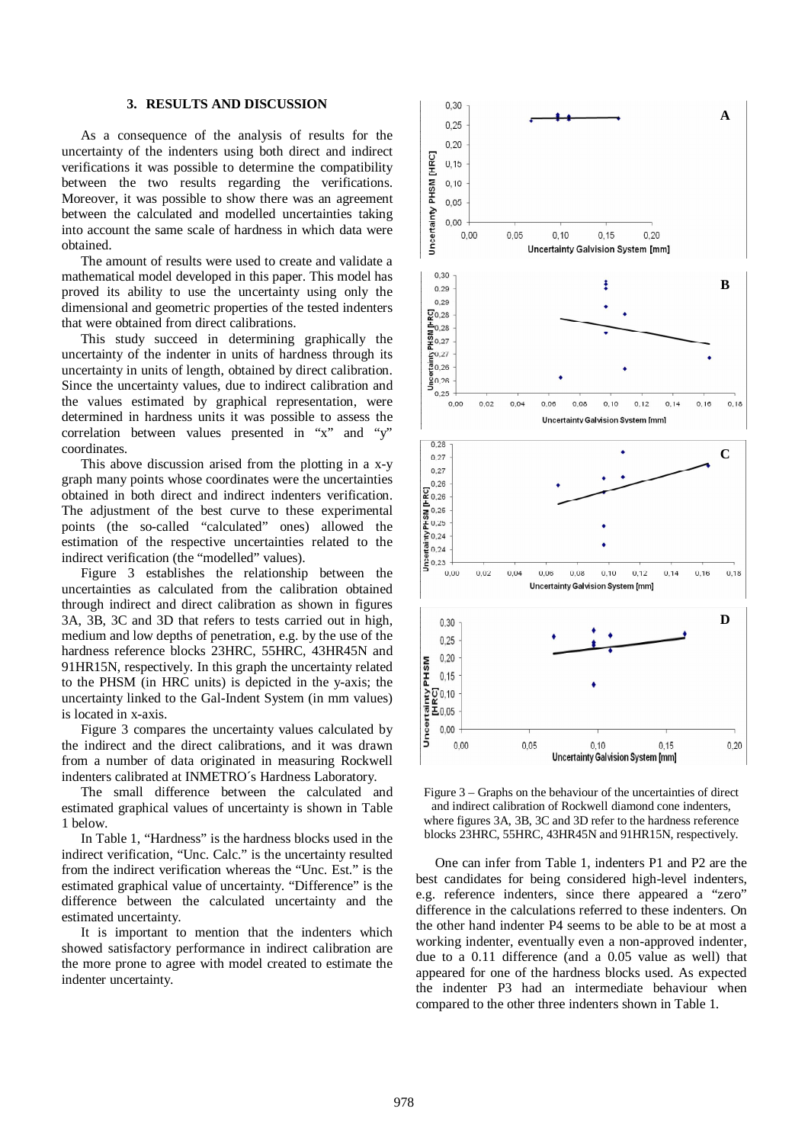### **3. RESULTS AND DISCUSSION**

As a consequence of the analysis of results for the uncertainty of the indenters using both direct and indirect verifications it was possible to determine the compatibility between the two results regarding the verifications. Moreover, it was possible to show there was an agreement between the calculated and modelled uncertainties taking into account the same scale of hardness in which data were obtained.

The amount of results were used to create and validate a mathematical model developed in this paper. This model has proved its ability to use the uncertainty using only the dimensional and geometric properties of the tested indenters that were obtained from direct calibrations.

This study succeed in determining graphically the uncertainty of the indenter in units of hardness through its uncertainty in units of length, obtained by direct calibration. Since the uncertainty values, due to indirect calibration and the values estimated by graphical representation, were determined in hardness units it was possible to assess the correlation between values presented in "x" and "y" coordinates.

This above discussion arised from the plotting in a x-y graph many points whose coordinates were the uncertainties obtained in both direct and indirect indenters verification. The adjustment of the best curve to these experimental points (the so-called "calculated" ones) allowed the estimation of the respective uncertainties related to the indirect verification (the "modelled" values).

Figure 3 establishes the relationship between the uncertainties as calculated from the calibration obtained through indirect and direct calibration as shown in figures 3A, 3B, 3C and 3D that refers to tests carried out in high, medium and low depths of penetration, e.g. by the use of the hardness reference blocks 23HRC, 55HRC, 43HR45N and 91HR15N, respectively. In this graph the uncertainty related to the PHSM (in HRC units) is depicted in the y-axis; the uncertainty linked to the Gal-Indent System (in mm values) is located in x-axis.

Figure 3 compares the uncertainty values calculated by the indirect and the direct calibrations, and it was drawn from a number of data originated in measuring Rockwell indenters calibrated at INMETRO´s Hardness Laboratory.

The small difference between the calculated and estimated graphical values of uncertainty is shown in Table 1 below.

In Table 1, "Hardness" is the hardness blocks used in the indirect verification, "Unc. Calc." is the uncertainty resulted from the indirect verification whereas the "Unc. Est." is the estimated graphical value of uncertainty. "Difference" is the difference between the calculated uncertainty and the estimated uncertainty.

It is important to mention that the indenters which showed satisfactory performance in indirect calibration are the more prone to agree with model created to estimate the indenter uncertainty.



Figure 3 – Graphs on the behaviour of the uncertainties of direct and indirect calibration of Rockwell diamond cone indenters, where figures 3A, 3B, 3C and 3D refer to the hardness reference blocks 23HRC, 55HRC, 43HR45N and 91HR15N, respectively.

One can infer from Table 1, indenters P1 and P2 are the best candidates for being considered high-level indenters, e.g. reference indenters, since there appeared a "zero" difference in the calculations referred to these indenters. On the other hand indenter P4 seems to be able to be at most a working indenter, eventually even a non-approved indenter, due to a 0.11 difference (and a 0.05 value as well) that appeared for one of the hardness blocks used. As expected the indenter P3 had an intermediate behaviour when compared to the other three indenters shown in Table 1.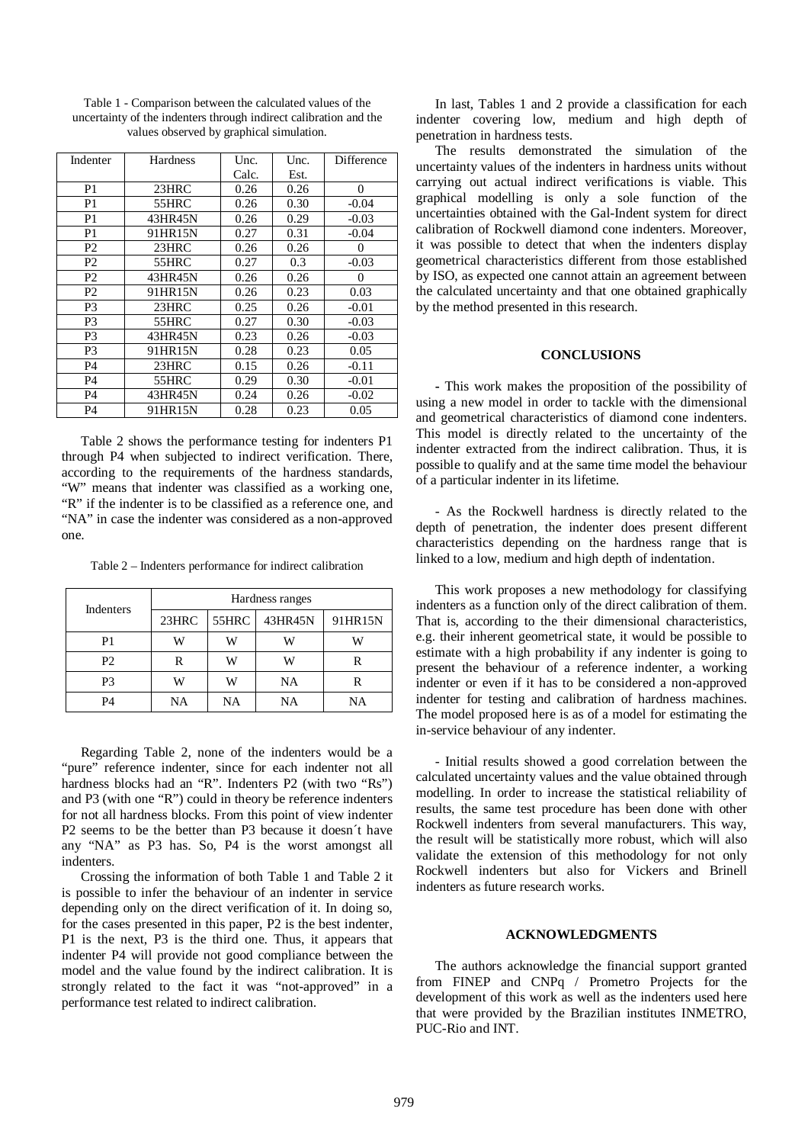| Indenter       | <b>Hardness</b> | Unc.  | Unc. | Difference |
|----------------|-----------------|-------|------|------------|
|                |                 | Calc. | Est. |            |
| P <sub>1</sub> | 23HRC           | 0.26  | 0.26 | $\Omega$   |
| P <sub>1</sub> | 55HRC           | 0.26  | 0.30 | $-0.04$    |
| P <sub>1</sub> | 43HR45N         | 0.26  | 0.29 | $-0.03$    |
| P <sub>1</sub> | 91HR15N         | 0.27  | 0.31 | $-0.04$    |
| P <sub>2</sub> | 23HRC           | 0.26  | 0.26 | $\theta$   |
| P <sub>2</sub> | 55HRC           | 0.27  | 0.3  | $-0.03$    |
| P <sub>2</sub> | 43HR45N         | 0.26  | 0.26 | $\theta$   |
| P <sub>2</sub> | 91HR15N         | 0.26  | 0.23 | 0.03       |
| P <sub>3</sub> | 23HRC           | 0.25  | 0.26 | $-0.01$    |
| P <sub>3</sub> | 55HRC           | 0.27  | 0.30 | $-0.03$    |
| P <sub>3</sub> | 43HR45N         | 0.23  | 0.26 | $-0.03$    |
| P <sub>3</sub> | 91HR15N         | 0.28  | 0.23 | 0.05       |
| <b>P4</b>      | 23HRC           | 0.15  | 0.26 | $-0.11$    |
| <b>P4</b>      | 55HRC           | 0.29  | 0.30 | $-0.01$    |
| <b>P4</b>      | 43HR45N         | 0.24  | 0.26 | $-0.02$    |
| P <sub>4</sub> | 91HR15N         | 0.28  | 0.23 | 0.05       |

Table 1 - Comparison between the calculated values of the uncertainty of the indenters through indirect calibration and the values observed by graphical simulation.

Table 2 shows the performance testing for indenters P1 through P4 when subjected to indirect verification. There, according to the requirements of the hardness standards, "W" means that indenter was classified as a working one, "R" if the indenter is to be classified as a reference one, and "NA" in case the indenter was considered as a non-approved one.

Table 2 – Indenters performance for indirect calibration

| <b>Indenters</b> | Hardness ranges |                                |         |         |  |
|------------------|-----------------|--------------------------------|---------|---------|--|
|                  | 23HRC           | $\overline{\phantom{0}}$ 55HRC | 43HR45N | 91HR15N |  |
| P1               | W               | W                              |         | w       |  |
| P <sub>2</sub>   | R               | W                              |         |         |  |
| P <sub>3</sub>   | W               | W                              | NA      | R       |  |
| P4               | NA              | NA                             | NA      | NA      |  |

Regarding Table 2, none of the indenters would be a "pure" reference indenter, since for each indenter not all hardness blocks had an "R". Indenters P2 (with two "Rs") and P3 (with one "R") could in theory be reference indenters for not all hardness blocks. From this point of view indenter P2 seems to be the better than P3 because it doesn´t have any "NA" as P3 has. So, P4 is the worst amongst all indenters.

Crossing the information of both Table 1 and Table 2 it is possible to infer the behaviour of an indenter in service depending only on the direct verification of it. In doing so, for the cases presented in this paper, P2 is the best indenter, P1 is the next, P3 is the third one. Thus, it appears that indenter P4 will provide not good compliance between the model and the value found by the indirect calibration. It is strongly related to the fact it was "not-approved" in a performance test related to indirect calibration.

In last, Tables 1 and 2 provide a classification for each indenter covering low, medium and high depth of penetration in hardness tests.

The results demonstrated the simulation of the uncertainty values of the indenters in hardness units without carrying out actual indirect verifications is viable. This graphical modelling is only a sole function of the uncertainties obtained with the Gal-Indent system for direct calibration of Rockwell diamond cone indenters. Moreover, it was possible to detect that when the indenters display geometrical characteristics different from those established by ISO, as expected one cannot attain an agreement between the calculated uncertainty and that one obtained graphically by the method presented in this research.

#### **CONCLUSIONS**

**-** This work makes the proposition of the possibility of using a new model in order to tackle with the dimensional and geometrical characteristics of diamond cone indenters. This model is directly related to the uncertainty of the indenter extracted from the indirect calibration. Thus, it is possible to qualify and at the same time model the behaviour of a particular indenter in its lifetime.

- As the Rockwell hardness is directly related to the depth of penetration, the indenter does present different characteristics depending on the hardness range that is linked to a low, medium and high depth of indentation.

This work proposes a new methodology for classifying indenters as a function only of the direct calibration of them. That is, according to the their dimensional characteristics, e.g. their inherent geometrical state, it would be possible to estimate with a high probability if any indenter is going to present the behaviour of a reference indenter, a working indenter or even if it has to be considered a non-approved indenter for testing and calibration of hardness machines. The model proposed here is as of a model for estimating the in-service behaviour of any indenter.

- Initial results showed a good correlation between the calculated uncertainty values and the value obtained through modelling. In order to increase the statistical reliability of results, the same test procedure has been done with other Rockwell indenters from several manufacturers. This way, the result will be statistically more robust, which will also validate the extension of this methodology for not only Rockwell indenters but also for Vickers and Brinell indenters as future research works.

# **ACKNOWLEDGMENTS**

The authors acknowledge the financial support granted from FINEP and CNPq / Prometro Projects for the development of this work as well as the indenters used here that were provided by the Brazilian institutes INMETRO, PUC-Rio and INT.